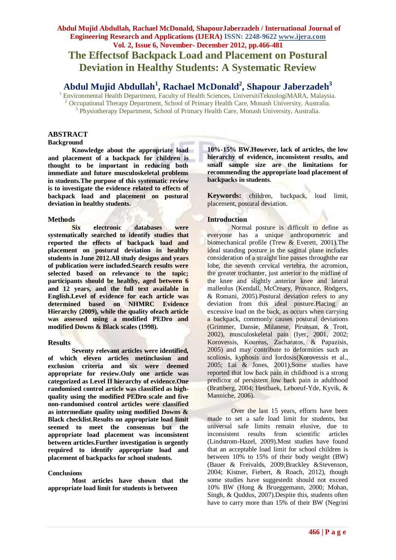# **The Effectsof Backpack Load and Placement on Postural Deviation in Healthy Students: A Systematic Review**

# **Abdul Mujid Abdullah<sup>1</sup> , Rachael McDonald<sup>2</sup> , Shapour Jaberzadeh<sup>3</sup>**

<sup>1</sup> Environmental Health Department, Faculty of Health Sciences, UniversitiTeknologiMARA, Malaysia. <sup>2</sup> Occupational Therapy Department, School of Primary Health Care, Monash University, Australia. 3 Physiotherapy Department, School of Primary Health Care, Monash University, Australia.

# **ABSTRACT**

# **Background**

**Knowledge about the appropriate load and placement of a backpack for children is thought to be important in reducing both immediate and future musculoskeletal problems in students.The purpose of this systematic review is to investigate the evidence related to effects of backpack load and placement on postural deviation in healthy students.**

## **Methods**

**Six electronic databases were systematically searched to identify studies that reported the effects of backpack load and placement on postural deviation in healthy students in June 2012.All study designs and years of publication were included.Search results were selected based on relevance to the topic; participants should be healthy, aged between 6 and 12 years, and the full text available in English.Level of evidence for each article was determined based on NHMRC Evidence Hierarchy (2009), while the quality ofeach article was assessed using a modified PEDro and modified Downs & Black scales (1998).**

## **Results**

**Seventy relevant articles were identified, of which eleven articles metinclusion and exclusion criteria and six were deemed appropriate for review.Only one article was categorized as Level II hierarchy of evidence.One randomised control article was classified as highquality using the modified PEDro scale and five non-randomised control articles were classified as intermediate quality using modified Downs & Black checklist.Results on appropriate load limit seemed to meet the consensus but the appropriate load placement was inconsistent between articles.Further investigation is urgently required to identify appropriate load and placement of backpacks for school students.**

## **Conclusions**

**Most articles have shown that the appropriate load limit for students is between** 

**10%-15% BW.However, lack of articles, the low hierarchy of evidence, inconsistent results, and small sample size are the limitations for recommending the appropriate load placement of backpacks in students**.

**Keywords:** children, backpack, load limit, placement, postural deviation.

# **Introduction**

Normal posture is difficult to define as everyone has a unique anthropometric and biomechanical profile [\(Trew & Everett, 2001\)](#page-10-0).The ideal standing posture in the sagittal plane includes consideration of a straight line passes throughthe ear lobe, the seventh cervical vertebra, the acromion, the greater trochanter, just anterior to the midline of the knee and slightly anterior knee and lateral malleolus [\(Kendall, McCreary, Provance, Rodgers,](#page-9-0)  [& Romani, 2005\)](#page-9-0).Postural deviation refers to any deviation from this ideal posture.Placing an excessive load on the back, as occurs when carrying a backpack, commonly causes postural deviations [\(Grimmer, Dansie, Milanese, Pirunsan, & Trott,](#page-9-1)  [2002\)](#page-9-1), musculoskeletal pain [\(Iyer, 2001,](#page-9-2) [2002;](#page-9-3) [Korovessis, Koureas, Zacharatos, & Papazisis,](#page-9-4)  [2005\)](#page-9-4) and may contribute to deformities such as scoliosis, kyphosis and lordosis[\(Korovessis et al.,](#page-9-4)  [2005;](#page-9-4) [Lai & Jones, 2001\)](#page-10-1).Some studies have reported that low back pain in childhood is a strong predictor of persistent low back pain in adulthood [\(Brattberg, 2004;](#page-9-5) [Hestbaek, Leboeuf-Yde, Kyvik, &](#page-9-6)  [Manniche, 2006\)](#page-9-6).

Over the last 15 years, efforts have been made to set a safe load limit for students, but universal safe limits remain elusive, due to inconsistent results from scientific articles [\(Lindstrom-Hazel, 2009\)](#page-10-2).Most studies have found that an acceptable load limit for school children is between 10% to 15% of their body weight (BW) [\(Bauer & Freivalds, 2009](#page-8-0)[;Brackley &Stevenson,](#page-8-1)  [2004;](#page-8-1) [Kistner, Fiebert, & Roach, 2012\)](#page-9-7), though some studies have suggestedit should not exceed 10% BW [\(Hong & Brueggemann, 2000;](#page-9-8) [Mohan,](#page-10-3)  [Singh, & Quddus, 2007\)](#page-10-3).Despite this, students often have to carry more than 15% of their BW [\(Negrini](#page-10-4)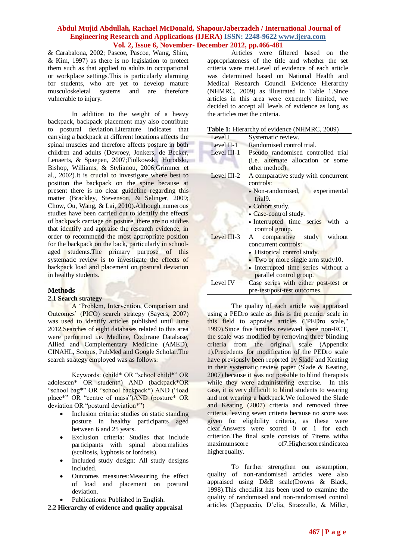& Carabalona, 2002; [Pascoe, Pascoe, Wang, Shim,](#page-10-5)  [& Kim, 1997\)](#page-10-5) as there is no legislation to protect them such as that applied to adults in occupational or workplace settings.This is particularly alarming for students, who are yet to develop mature musculoskeletal systems and are therefore vulnerable to injury.

In addition to the weight of a heavy backpack, backpack placement may also contribute to postural deviation.Literature indicates that carrying a backpack at different locations affects the spinal muscles and therefore affects posture in both children and adults [\(Devroey, Jonkers, de Becker,](#page-9-9)  [Lenaerts, & Spaepen, 2007;](#page-9-9)[Fiolkowski, Horodski,](#page-9-10)  [Bishop, Williams, & Stylianou, 2006](#page-9-10)[;Grimmer et](#page-9-1)  [al., 2002\)](#page-9-1).It is crucial to investigate where best to position the backpack on the spine because at present there is no clear guideline regarding this matter [\(Brackley, Stevenson, & Selinger, 2009;](#page-9-11) [Chow, Ou, Wang, & Lai, 2010\)](#page-9-12).Although numerous studies have been carried out to identify the effects of backpack carriage on posture, there are no studies that identify and appraise the research evidence, in order to recommend the most appropriate position for the backpack on the back, particularly in schoolaged students.The primary purpose of this systematic review is to investigate the effects of backpack load and placement on postural deviation in healthy students.

## **Methods**

#### **2.1 Search strategy**

A "Problem, Intervention, Comparison and Outcomes" (PICO) search strategy [\(Sayers, 2007\)](#page-10-6) was used to identify articles published until June 2012.Searches of eight databases related to this area were performed i.e. Medline, Cochrane Database, Allied and Complementary Medicine (AMED), CINAHL, Scopus, PubMed and Google Scholar.The search strategy employed was as follows:

Keywords: (child\* OR "school child\*" OR adolescen\* OR student\*) AND (backpack\*OR "school bag\*" OR "school backpack\*) AND ("load place\*" OR "centre of mass")AND (posture\* OR deviation OR "postural deviation\*")

- Inclusion criteria: studies on static standing posture in healthy participants aged between 6 and 25 years.
- Exclusion criteria: Studies that include participants with spinal abnormalities (scoliosis, kyphosis or lordosis).
- Included study design: All study designs included.
- Outcomes measures:Measuring the effect of load and placement on postural deviation.
- Publications: Published in English.

**2.2 Hierarchy of evidence and quality appraisal**

Articles were filtered based on the appropriateness of the title and whether the set criteria were met.Level of evidence of each article was determined based on National Health and Medical Research Council Evidence Hierarchy (NHMRC, 2009) as illustrated in Table 1.Since articles in this area were extremely limited, we decided to accept all levels of evidence as long as the articles met the criteria.

|  |  |  | Table 1: Hierarchy of evidence (NHMRC, 2009) |
|--|--|--|----------------------------------------------|
|--|--|--|----------------------------------------------|

|              | <b>radic 1.</b> Therarchy of evidence (Fullwrite, 2007) |
|--------------|---------------------------------------------------------|
| Level I      | Systematic review.                                      |
| Level $II-1$ | Randomised control trial.                               |
| Level III-1  | Pseudo randomised controlled trial                      |
|              | (i.e. alternate allocation or some                      |
|              | other method).                                          |
| Level III-2  | A comparative study with concurrent                     |
|              | controls:                                               |
|              | • Non-randomised, experimental                          |
|              | trial <sub>9</sub> .                                    |
|              | • Cohort study.                                         |
|              | • Case-control study.                                   |
|              | · Interrupted time series with a                        |
|              | control group.                                          |
| Level III-3  | A comparative study without                             |
|              | concurrent controls:                                    |
|              | • Historical control study.                             |
|              | • Two or more single arm study10.                       |
|              | • Interrupted time series without a                     |
|              | parallel control group.                                 |
| Level IV     | Case series with either post-test or                    |
|              | pre-test/post-test outcomes.                            |

The quality of each article was appraised using a PEDro scale as this is the premier scale in this field to appraise articles [\("PEDro scale,"](#page-10-7)  [1999\)](#page-10-7).Since five articles reviewed were non-RCT, the scale was modified by removing three blinding criteria from the original scale (Appendix 1).Precedents for modification of the PEDro scale have previously been reported by Slade and Keating in their systematic review paper [\(Slade & Keating,](#page-10-8)  [2007\)](#page-10-8) because it was not possible to blind therapists while they were administering exercise. In this case, it is very difficult to blind students to wearing and not wearing a backpack.We followed the Slade and Keating (2007) criteria and removed three criteria, leaving seven criteria because no score was given for eligibility criteria, as these were clear.Answers were scored 0 or 1 for each criterion.The final scale consists of 7items witha maximumscore of7.Higherscoresindicatea higherquality.

To further strengthen our assumption, quality of non-randomised articles were also appraised using D&B scale[\(Downs & Black,](#page-9-13)  [1998\)](#page-9-13).This checklist has been used to examine the quality of randomised and non-randomised control articles [\(Cappuccio, D"elia, Strazzullo, & Miller,](#page-9-14)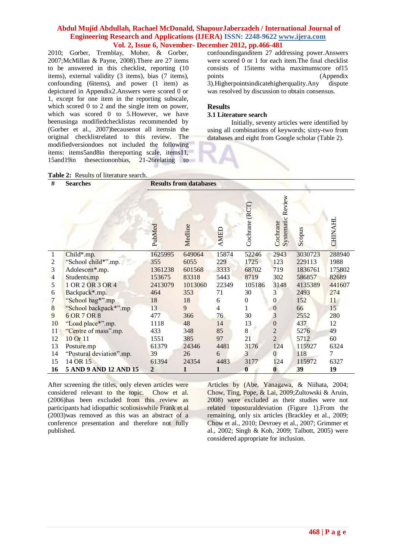2010; [Gorber, Tremblay, Moher, & Gorber,](#page-9-15)  [2007](#page-9-15)[;McMillan & Payne, 2008\)](#page-10-9).There are 27 items to be answered in this checklist, reporting (10 items), external validity (3 items), bias (7 items), confounding (6items), and power (1 item) as depictured in Appendix2.Answers were scored 0 or 1, except for one item in the reporting subscale, which scored 0 to 2 and the single item on power. which was scored 0 to 5. However, we have beenusinga modifiedchecklistas recommended by [\(Gorber et al., 2007\)](#page-9-15)becausenot all itemsin the original checklistrelated to this review. The modifiedversiondoes not included the following items: items5and8in thereporting scale, items11, 15and19in thesectiononbias, 21-26relating to confoundinganditem 27 addressing power.Answers were scored 0 or 1 for each item.The final checklist consists of 15items witha maximumscore of15 points (Appendix 3).Higherpointsindicatehigherquality.Any dispute was resolved by discussion to obtain consensus.

# **Results**

# **3.1 Literature search**

Initially, seventy articles were identified by using all combinations of keywords; sixty-two from databases and eight from Google scholar (Table 2).

## Table 2: Results of literature search.

| #              | <b>Searches</b>          |                | <b>Results from databases</b> |             |                   |                                  |         |                |
|----------------|--------------------------|----------------|-------------------------------|-------------|-------------------|----------------------------------|---------|----------------|
|                |                          | PubMed         | Medline                       | <b>AMED</b> | (RCT)<br>Cochrane | Review<br>Systematic<br>Cochrane | Scopus  | CHINAHL        |
| $\mathbf{1}$   | Child*.mp.               | 1625995        | 649064                        | 15874       | 52246             | 2943                             | 3030723 | 288940         |
| $\overline{2}$ | "School child*".mp.      | 355            | 6055                          | 229         | 1725              | 123                              | 229113  | 1988           |
| 3              | Adolescen*.mp.           | 1361238        | 601568                        | 3333        | 68702             | 719                              | 1836761 | 175802         |
| 4              | Students.mp              | 153675         | 83318                         | 5443        | 8719              | 302                              | 586857  | 82689          |
| 5              | 1 OR 2 OR 3 OR 4         | 2413079        | 1013060                       | 22349       | 105186            | 3148                             | 4135389 | 441607         |
| 6              | Backpack*.mp.            | 464            | 353                           | 71          | 30                | 3                                | 2493    | 274            |
|                | "School bag*".mp         | 18             | 18                            | 6           | $\boldsymbol{0}$  | $\overline{0}$                   | 152     | 11             |
| $\frac{7}{8}$  | "School backpack*".mp    | 13             | 9                             | 4           |                   | $\boldsymbol{0}$                 | 66      | 15             |
| 9              | 6 OR 7 OR 8              | 477            | 366                           | 76          | 30                | 3                                | 2552    | 280            |
| 10             | "Load place*".mp.        | 1118           | 48                            | 14          | 13                | $\boldsymbol{0}$                 | 437     | 12             |
| 11             | "Centre of mass".mp.     | 433            | 348                           | 85          | 8                 | $\overline{2}$                   | 5276    | 49             |
| 12             | 10 Or 11                 | 1551           | 385                           | 97          | 21                | $\overline{2}$                   | 5712    | 60             |
| 13             | Posture.mp               | 61379          | 24346                         | 4481        | 3176              | 124                              | 115927  | 6324           |
| 14             | "Postural deviation".mp. | 39             | 26                            | 6           | 3                 | $\Omega$                         | 118     | $\overline{7}$ |
| 15             | 14 OR 15                 | 61394          | 24354                         | 4483        | 3177              | 124                              | 115972  | 6327           |
| 16             | 5 AND 9 AND 12 AND 15    | $\overline{2}$ |                               |             | $\bf{0}$          | $\mathbf{0}$                     | 39      | 19             |

After screening the titles, only eleven articles were considered relevant to the topic. Chow et al. (2006)has been excluded from this review as participants had idiopathic scoliosiswhile Frank et al (2003)was removed as this was an abstract of a conference presentation and therefore not fully published.

Articles by [\(Abe, Yanagawa, & Niihata, 2004;](#page-8-2) [Chow, Ting, Pope, & Lai, 2009](#page-9-16)[;Zultowski & Aruin,](#page-10-10)  [2008\)](#page-10-10) were excluded as their studies were not related toposturaldeviation (Figure 1).From the remaining, only six articles [\(Brackley et al., 2009;](#page-9-11) [Chow et al., 2010;](#page-9-12) [Devroey et al., 2007;](#page-9-9) [Grimmer et](#page-9-1)  [al., 2002;](#page-9-1) [Singh & Koh, 2009;](#page-10-11) [Talbott, 2005\)](#page-10-12) were considered appropriate for inclusion.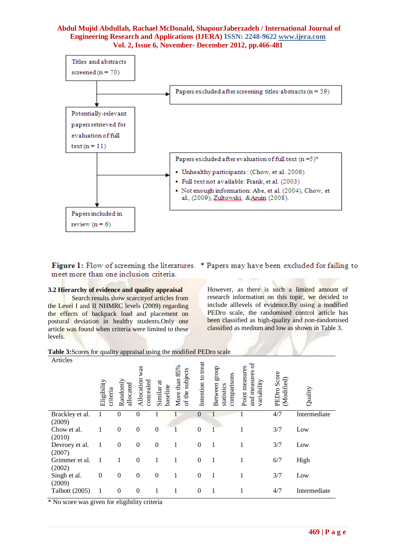

Figure 1: Flow of screening the literatures. \* Papers may have been excluded for failing to meet more than one inclusion criteria.

## **3.2 Hierarchy of evidence and quality appraisal**

Search results show scarcityof articles from the Level I and II NHMRC levels (2009) regarding the effects of backpack load and placement on postural deviation in healthy students.Only one article was found when criteria were limited to these levels.

However, as there is such a limited amount of research information on this topic, we decided to include alllevels of evidence.By using a modified PEDro scale, the randomised control article has been classified as high-quality and non-randomised classified as medium and low as shown in Table 3.

# **Table 3:**Scores for quality appraisal using the modified PEDro scale

| Articles                 | Eligibility<br>criteria | Randoml<br>allocated | was<br>Allocation<br>concealed | $\sharp$<br>baseline<br>Similar | 85%<br>subjects<br>More than<br>of the | Intention to treat | dno.13<br>comparisons<br>Between<br>statistics | $\mathfrak{p}$<br>Point measures<br>and measures<br>variability | PEDro Score<br>(Modified) | Quality      |
|--------------------------|-------------------------|----------------------|--------------------------------|---------------------------------|----------------------------------------|--------------------|------------------------------------------------|-----------------------------------------------------------------|---------------------------|--------------|
| Brackley et al.          | 1                       | $\theta$             | $\overline{0}$                 |                                 |                                        | $\theta$           |                                                |                                                                 | 4/7                       | Intermediate |
| (2009)<br>Chow et al.    |                         | $\theta$             | $\overline{0}$                 | $\theta$                        |                                        | $\Omega$           |                                                |                                                                 | 3/7                       | Low          |
| (2010)                   |                         |                      |                                |                                 |                                        |                    |                                                |                                                                 |                           |              |
| Devroey et al.           | 1                       | $\mathbf{0}$         | $\overline{0}$                 | $\mathbf{0}$                    | 1                                      | $\Omega$           | 1                                              | 1                                                               | 3/7                       | Low          |
| (2007)                   |                         |                      |                                |                                 |                                        |                    |                                                |                                                                 |                           |              |
| Grimmer et al.<br>(2002) | 1                       | 1                    | $\boldsymbol{0}$               | 1                               | 1                                      | $\mathbf{0}$       | 1                                              | 1                                                               | 6/7                       | High         |
| Singh et al.             | $\boldsymbol{0}$        | $\boldsymbol{0}$     | $\boldsymbol{0}$               | $\boldsymbol{0}$                | 1                                      | $\mathbf{0}$       | 1                                              |                                                                 | 3/7                       | Low          |
| (2009)                   |                         |                      |                                |                                 |                                        |                    |                                                |                                                                 |                           |              |
| Talbott (2005)           | 1                       | $\boldsymbol{0}$     | $\boldsymbol{0}$               | 1                               |                                        | $\theta$           | 1                                              |                                                                 | 4/7                       | Intermediate |

\* No score was given for eligibility criteria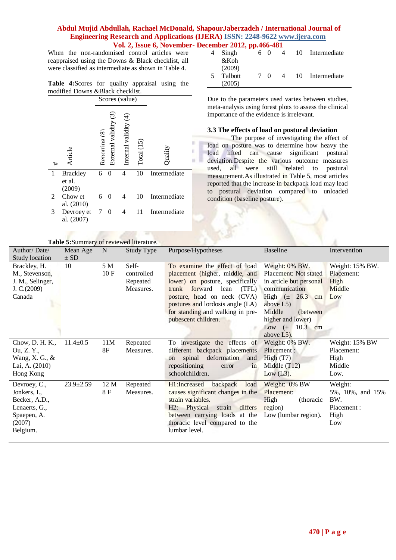When the non-randomised control articles were reappraised using the Downs & Black checklist, all were classified as intermediate as shown in Table 4.

|                                   |  | <b>Table 4:</b> Scores for quality appraisal using the |  |
|-----------------------------------|--|--------------------------------------------------------|--|
| modified Downs & Black checklist. |  |                                                        |  |



| Singh   | . | 60  | 4 | 10 | Intermediate    |
|---------|---|-----|---|----|-----------------|
| &Koh    |   |     |   |    |                 |
| (2009)  |   |     |   |    |                 |
| Talbott |   | 7 O | 4 |    | 10 Intermediate |
| (2005)  |   |     |   |    |                 |

Due to the parameters used varies between studies, meta-analysis using forest plots to assess the clinical importance of the evidence is irrelevant.

## **3.3 The effects of load on postural deviation**

The purpose of investigating the effect of load on posture was to determine how heavy the load lifted can cause significant postural deviation.Despite the various outcome measures used, all were still related to postural measurement.As illustrated in Table 5, most articles reported that the increase in backpack load may lead to postural deviation compared to unloaded condition (baseline posture).

|                   | Table 5:Summary of reviewed literature. |             |            |                                               |                              |                  |
|-------------------|-----------------------------------------|-------------|------------|-----------------------------------------------|------------------------------|------------------|
| Author/Date/      | Mean Age                                | $\mathbf N$ | Study Type | Purpose/Hypotheses                            | <b>Baseline</b>              | Intervention     |
| Study location    | $\pm$ SD                                |             |            |                                               |                              |                  |
| Brackley, H.      | 10                                      | 5 M         | Self-      | To examine the effect of load                 | Weight: 0% BW.               | Weight: 15% BW.  |
| M., Stevenson,    |                                         | 10F         | controlled | placement (higher, middle, and                | <b>Placement:</b> Not stated | Placement:       |
| J. M., Selinger,  |                                         |             | Repeated   | lower) on posture, specifically               | in article but personal      | High             |
| J. $C.(2009)$     |                                         |             | Measures.  | forward<br>lean<br>(TFL)<br>trunk             | communication                | Middle           |
| Canada            |                                         |             |            | posture, head on neck (CVA)                   | High $(\pm 26.3)$<br>cm      | Low              |
|                   |                                         |             |            | postures and lordosis angle (LA)              | above $L5$ )                 |                  |
|                   |                                         |             |            | for standing and walking in pre-              | Middle<br>(between)          |                  |
|                   |                                         |             |            | pubescent children.                           | higher and lower)            |                  |
|                   |                                         |             |            |                                               | 10.3 cm<br>Low $(\pm$        |                  |
|                   |                                         |             |            |                                               | above $L5$ ).                |                  |
| Chow, D. H. K.,   | $11.4 \pm 0.5$                          | 11M         | Repeated   | To investigate the effects of                 | Weight: 0% BW.               | Weight: 15% BW   |
| Ou, Z. Y.,        |                                         | 8F          | Measures.  | different backpack placements                 | Placement :                  | Placement:       |
| Wang, X. G., $\&$ |                                         |             |            | deformation<br>spinal<br>and<br><sub>on</sub> | High $(T7)$                  | High             |
| Lai, A. (2010)    |                                         |             |            | repositioning<br>error<br>in                  | Middle $(T12)$               | Middle           |
| Hong Kong         |                                         |             |            | schoolchildren.                               | Low $(L3)$ .                 | Low.             |
| Devroey, C.,      | $23.9 \pm 2.59$                         | 12 M        | Repeated   | backpack<br>H1:Increased<br>load              | Weight: 0% BW                | Weight:          |
| Jonkers, I.,      |                                         | 8 F         | Measures.  | causes significant changes in the             | Placement:                   | 5%, 10%, and 15% |
| Becker, A.D.,     |                                         |             |            | strain variables.                             | High<br>(thoracic            | BW.              |
| Lenaerts, G.,     |                                         |             |            | H2: Physical<br>differs<br>strain             | region)                      | Placement:       |
| Spaepen, A.       |                                         |             |            | between carrying loads at the                 | Low (lumbar region).         | High             |
| (2007)            |                                         |             |            | thoracic level compared to the                |                              | Low              |
| Belgium.          |                                         |             |            | lumbar level.                                 |                              |                  |
|                   |                                         |             |            |                                               |                              |                  |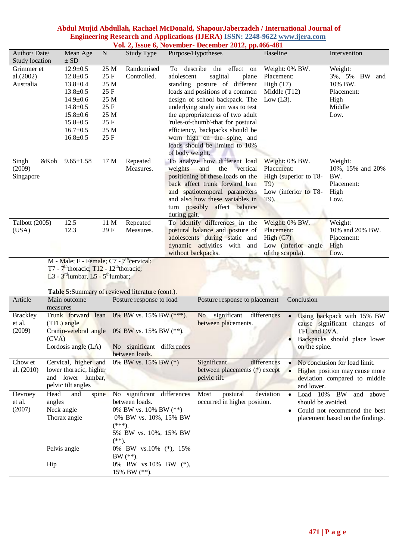| Author/Date/<br>Study location       |                                              | Mean Age<br>$\pm$ SD                                                                                                                                                                    | N                                                                            | $\frac{1}{2}$ as $\frac{1}{2}$ as $\frac{1}{2}$ for ember determined $\frac{1}{2}$ $\frac{1}{2}$ pp. 100 101<br>Study Type                                           | Purpose/Hypotheses            |                             |                                                                                                                                                                                                                                                                                                                                                                        | <b>Baseline</b>                                                               |                                               | Intervention                                               |                                                                                            |
|--------------------------------------|----------------------------------------------|-----------------------------------------------------------------------------------------------------------------------------------------------------------------------------------------|------------------------------------------------------------------------------|----------------------------------------------------------------------------------------------------------------------------------------------------------------------|-------------------------------|-----------------------------|------------------------------------------------------------------------------------------------------------------------------------------------------------------------------------------------------------------------------------------------------------------------------------------------------------------------------------------------------------------------|-------------------------------------------------------------------------------|-----------------------------------------------|------------------------------------------------------------|--------------------------------------------------------------------------------------------|
| Grimmer et<br>al.(2002)<br>Australia |                                              | $12.9 \pm 0.5$<br>$12.8 \pm 0.5$<br>$13.8 \pm 0.4$<br>$13.8 \pm 0.5$<br>$14.9 \pm 0.6$<br>$14.8 \pm 0.5$<br>$15.8 \pm 0.6$<br>$15.8 \pm 0.5$<br>$16.7 \pm 0.5$<br>$16.8 \pm 0.5$        | 25 M<br>25 F<br>25 M<br>25 F<br>25 M<br>25 F<br>25 M<br>25 F<br>25 M<br>25 F | Randomised<br>Controlled.                                                                                                                                            | adolescent<br>of body weight. |                             | To describe the effect on<br>sagittal<br>plane<br>standing posture of different<br>loads and positions of a common<br>design of school backpack. The<br>underlying study aim was to test<br>the appropriateness of two adult<br>'rules-of-thumb'-that for postural<br>efficiency, backpacks should be<br>worn high on the spine, and<br>loads should be limited to 10% | Weight: 0% BW.<br>Placement:<br>High $(T7)$<br>Middle $(T12)$<br>Low $(L3)$ . |                                               | Weight:<br>10% BW.<br>Placement:<br>High<br>Middle<br>Low. | 3%, 5% BW and                                                                              |
| Singh<br>(2009)<br>Singapore         | &Koh                                         | $9.65 \pm 1.58$                                                                                                                                                                         | 17 M                                                                         | Repeated<br>Measures.                                                                                                                                                | weights<br>during gait.       | and                         | To analyze how different load<br>the<br>vertical<br>positioning of these loads on the<br>back affect trunk forward lean<br>and spatiotemporal parameters<br>and also how these variables in<br>turn possibly affect balance                                                                                                                                            | Weight: 0% BW.<br>Placement:<br>T9)<br>T9).                                   | High (superior to T8-<br>Low (inferior to T8- | Weight:<br>BW.<br>Placement:<br>High<br>Low.               | 10%, 15% and 20%                                                                           |
| Talbott (2005)<br>(USA)              |                                              | 12.5<br>12.3                                                                                                                                                                            | 11 M<br>29F                                                                  | Repeated<br>Measures.                                                                                                                                                | without backpacks.            |                             | To identify differences in the<br>postural balance and posture of<br>adolescents during static and<br>dynamic activities with and                                                                                                                                                                                                                                      | Weight: 0% BW.<br>Placement:<br>High $(C7)$<br>of the scapula).               | Low (inferior angle                           | Weight:<br>Placement:<br>High<br>Low.                      | 10% and 20% BW.                                                                            |
|                                      |                                              | $M - Male$ ; F - Female; C7 - 7 <sup>th</sup> cervical;<br>T7 - $7^{\text{th}}$ thoracic; T12 - 12 <sup>th</sup> thoracic;<br>L3 - $3^{\text{rd}}$ lumbar, L5 - $5^{\text{th}}$ lumbar; |                                                                              | Table 5:Summary of reviewed literature (cont.).                                                                                                                      |                               |                             |                                                                                                                                                                                                                                                                                                                                                                        |                                                                               |                                               |                                                            |                                                                                            |
| Article                              | Main outcome<br>measures                     |                                                                                                                                                                                         |                                                                              | Posture response to load                                                                                                                                             |                               |                             | Posture response to placement                                                                                                                                                                                                                                                                                                                                          |                                                                               | Conclusion                                    |                                                            |                                                                                            |
| <b>Brackley</b><br>et al.<br>(2009)  | (TFL) angle<br>(CVA)                         |                                                                                                                                                                                         |                                                                              | Trunk forward lean $0\%$ BW vs. 15% BW $(***)$ .<br>Cranio-vetebral angle 0% BW vs. 15% BW (**).<br>Lordosis angle (LA) No significant differences<br>between loads. |                               |                             | No significant<br>between placements.                                                                                                                                                                                                                                                                                                                                  | differences                                                                   | TFL and CVA.<br>on the spine.                 |                                                            | Using backpack with 15% BW<br>cause significant changes of<br>Backpacks should place lower |
| Chow et<br>al. (2010)                | pelvic tilt angles                           | Cervical, higher and<br>lower thoracic, higher<br>and lower lumbar,                                                                                                                     |                                                                              | 0% BW vs. 15% BW (*)                                                                                                                                                 |                               | Significant<br>pelvic tilt. | between placements (*) except                                                                                                                                                                                                                                                                                                                                          | differences                                                                   | and lower.                                    | No conclusion for load limit.                              | Higher position may cause more<br>deviation compared to middle                             |
| Devroey<br>et al.<br>(2007)          | Head<br>angles<br>Neck angle<br>Thorax angle | and<br>spine                                                                                                                                                                            | $(**)$ .                                                                     | No significant differences<br>between loads.<br>0% BW vs. 10% BW (**)<br>0% BW vs. 10%, 15% BW<br>$(***).$<br>5% BW vs. 10%, 15% BW                                  |                               | Most                        | postural<br>occurred in higher position.                                                                                                                                                                                                                                                                                                                               | deviation                                                                     | Load $10\%$<br>should be avoided.             | BW                                                         | and above<br>Could not recommend the best<br>placement based on the findings.              |
|                                      | Pelvis angle<br>Hip                          |                                                                                                                                                                                         |                                                                              | 0% BW vs.10% (*), 15%<br>$BW$ (**).<br>0% BW vs.10% BW (*),<br>15% BW (**).                                                                                          |                               |                             |                                                                                                                                                                                                                                                                                                                                                                        |                                                                               |                                               |                                                            |                                                                                            |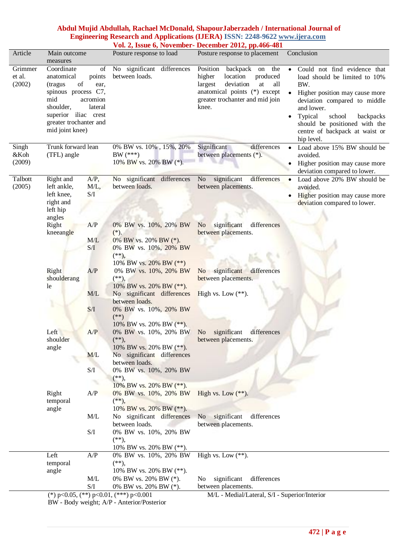# **Abdul Mujid Abdullah, Rachael McDonald, ShapourJaberzadeh / International Journal of Engineering Research and Applications (IJERA) ISSN: 2248-9622 www.ijera.com**

|                             |                                                                                                                                                           |                                             |                                                                                                              | Vol. 2, Issue 6, November- December 2012, pp.466-481                                                                                                                           |                                                                                                                                                                                                                                                                                                   |
|-----------------------------|-----------------------------------------------------------------------------------------------------------------------------------------------------------|---------------------------------------------|--------------------------------------------------------------------------------------------------------------|--------------------------------------------------------------------------------------------------------------------------------------------------------------------------------|---------------------------------------------------------------------------------------------------------------------------------------------------------------------------------------------------------------------------------------------------------------------------------------------------|
| Article                     | Main outcome<br>measures                                                                                                                                  |                                             | Posture response to load                                                                                     | Posture response to placement                                                                                                                                                  | Conclusion                                                                                                                                                                                                                                                                                        |
| Grimmer<br>et al.<br>(2002) | Coordinate<br>anatomical<br>of<br>(tragus<br>spinous process C7,<br>mid<br>shoulder,<br>superior iliac crest<br>greater trochanter and<br>mid joint knee) | of<br>points<br>ear,<br>acromion<br>lateral | No significant differences<br>between loads.                                                                 | Position<br>backpack on the<br>location<br>produced<br>higher<br>deviation<br>largest<br>at<br>all<br>anatomical points (*) except<br>greater trochanter and mid join<br>knee. | Could not find evidence that<br>$\bullet$<br>load should be limited to 10%<br>BW.<br>Higher position may cause more<br>deviation compared to middle<br>and lower.<br>Typical<br>school<br>backpacks<br>$\bullet$<br>should be positioned with the<br>centre of backpack at waist or<br>hip level. |
| Singh<br>&Koh<br>(2009)     | Trunk forward lean<br>(TFL) angle                                                                                                                         |                                             | $0\%$ BW vs. $10\%$ , $15\% ,\, 20\%$<br>BW $(***)$<br>10% BW vs. 20% BW (*).                                | differences<br>Significant<br>between placements (*).                                                                                                                          | Load above 15% BW should be<br>$\bullet$<br>avoided.<br>Higher position may cause more<br>deviation compared to lower.                                                                                                                                                                            |
| Talbott<br>(2005)           | Right and<br>left ankle,<br>left knee,<br>right and<br>left hip<br>angles                                                                                 | $A/P$ ,<br>$M/L$ ,<br>S/I                   | No significant differences<br>between loads.                                                                 | significant<br>differences<br>N <sub>o</sub><br>between placements.                                                                                                            | Load above 20% BW should be<br>$\bullet$<br>avoided.<br>Higher position may cause more<br>deviation compared to lower.                                                                                                                                                                            |
|                             | Right<br>kneeangle                                                                                                                                        | A/P<br>M/L<br>S/I                           | 0% BW vs. 10%, 20% BW<br>$(*).$<br>0% BW vs. 20% BW (*).<br>0% BW vs. 10%, 20% BW<br>$(**)$ ,                | significant<br>differences<br>N <sub>o</sub><br>between placements.                                                                                                            |                                                                                                                                                                                                                                                                                                   |
|                             | Right<br>shoulderang<br>le                                                                                                                                | A/P                                         | 10% BW vs. 20% BW (**)<br>0% BW vs. 10%, 20% BW<br>$(**)$ ,<br>10% BW vs. 20% BW (**).                       | No significant<br>differences<br>between placements.                                                                                                                           |                                                                                                                                                                                                                                                                                                   |
|                             |                                                                                                                                                           | M/L<br>S/I                                  | No significant differences<br>between loads.<br>0% BW vs. 10%, 20% BW<br>$(**)$                              | High vs. Low $(**)$ .                                                                                                                                                          |                                                                                                                                                                                                                                                                                                   |
|                             | Left<br>shoulder<br>angle                                                                                                                                 | A/P                                         | 10% BW vs. 20% BW $(**)$ .<br>0% BW vs. 10%, 20% BW<br>$(**),$<br>10% BW vs. 20% BW (**).                    | No significant<br>differences<br>between placements.                                                                                                                           |                                                                                                                                                                                                                                                                                                   |
|                             |                                                                                                                                                           | M/L<br>S/I                                  | No significant differences<br>between loads.<br>0% BW vs. 10%, 20% BW<br>$(**)$ ,<br>10% BW vs. 20% BW (**). |                                                                                                                                                                                |                                                                                                                                                                                                                                                                                                   |
|                             | Right<br>temporal<br>angle                                                                                                                                | A/P                                         | 0% BW vs. 10%, 20% BW<br>$(**)$ ,<br>10% BW vs. 20% BW (**).                                                 | High vs. Low $(**)$ .                                                                                                                                                          |                                                                                                                                                                                                                                                                                                   |
|                             |                                                                                                                                                           | M/L<br>S/I                                  | No significant differences<br>between loads.<br>0% BW vs. 10%, 20% BW<br>$(**)$ ,<br>10% BW vs. 20% BW (**). | No significant<br>differences<br>between placements.                                                                                                                           |                                                                                                                                                                                                                                                                                                   |
|                             | Left<br>temporal<br>angle                                                                                                                                 | A/P<br>M/L                                  | 0% BW vs. 10%, 20% BW<br>$(**)$ ,<br>10% BW vs. 20% BW (**).<br>0% BW vs. 20% BW (*).                        | High vs. Low $\overline{(**)}$ .<br>significant<br>differences<br>No                                                                                                           |                                                                                                                                                                                                                                                                                                   |
|                             |                                                                                                                                                           | S/I                                         | 0% BW vs. 20% BW (*).<br>(*) $p<0.05$ , (**) $p<0.01$ , (***) $p<0.001$                                      | between placements.<br>M/L - Medial/Lateral, S/I - Superior/Interior                                                                                                           |                                                                                                                                                                                                                                                                                                   |

BW - Body weight; A/P - Anterior/Posterior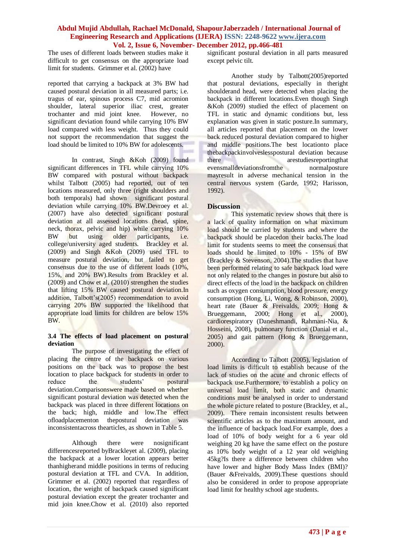The uses of different loads between studies make it difficult to get consensus on the appropriate load limit for students. Grimmer et al. (2002) have

reported that carrying a backpack at 3% BW had caused postural deviation in all measured parts; i.e. tragus of ear, spinous process C7, mid acromion shoulder, lateral superior iliac crest, greater trochanter and mid joint knee. However, no significant deviation found while carrying 10% BW load compared with less weight. Thus they could not support the recommendation that suggest the load should be limited to 10% BW for adolescents.

In contrast, Singh &Koh (2009) found significant differences in TFL while carrying 10% BW compared with postural without backpack whilst Talbott (2005) had reported, out of ten locations measured, only three (right shoulders and both temporals) had shown significant postural deviation while carrying 10% BW.Devroey et al. (2007) have also detected significant postural deviation at all assessed locations (head, spine, neck, thorax, pelvic and hip) while carrying 10% BW but using older participants, i.e. college/university aged students. Brackley et al.  $(2009)$  and Singh &Koh  $(2009)$  used TFL to measure postural deviation, but failed to get consensus due to the use of different loads (10%, 15%, and 20% BW).Results from Brackley et al. (2009) and Chow et al. (2010) strengthen the studies that lifting 15% BW caused postural deviation.In addition, Talbott's(2005) recommendation to avoid carrying 20% BW supported the likelihood that appropriate load limits for children are below 15% BW.

#### **3.4 The effects of load placement on postural deviation**

The purpose of investigating the effect of placing the centre of the backpack on various positions on the back was to propose the best location to place backpack for students in order to reduce the students' postural reduce the students' deviation.Comparisonswere made based on whether significant postural deviation was detected when the backpack was placed in three different locations on the back; high, middle and low.The effect ofloadplacementon thepostural deviation was inconsistentacross thearticles, as shown in Table 5.

Although there were nosignificant differencesreported byBrackleyet al. (2009), placing the backpack at a lower location appears better thanhigherand middle positions in terms of reducing postural deviation at TFL and CVA. In addition, Grimmer et al. (2002) reported that regardless of location, the weight of backpack caused significant postural deviation except the greater trochanter and mid join knee.Chow et al. (2010) also reported

significant postural deviation in all parts measured except pelvic tilt.

Another study by Talbott(2005)reported that postural deviations, especially in theright shoulderand head, were detected when placing the backpack in different locations.Even though Singh &Koh (2009) studied the effect of placement on TFL in static and dynamic conditions but, less explanation was given in static posture.In summary, all articles reported that placement on the lower back reduced postural deviation compared to higher and middle positions.The best locationto place thebackpackinvolveslesspostural deviation because there are are are are are are are are the three are are are the set of the set of the are are are are  $\frac{d}{dt}$ evensmalldeviationsfromthe normalposture mayresult in adverse mechanical tension in the central nervous system [\(Garde, 1992;](#page-9-17) [Harisson,](#page-9-18)  [1992\)](#page-9-18).

# **Discussion**

This systematic review shows that there is a lack of quality information on what maximum load should be carried by students and where the backpack should be placedon their backs.The load limit for students seems to meet the consensus that loads should be limited to 10% - 15% of BW [\(Brackley & Stevenson, 2004\)](#page-8-1).The studies that have been performed relating to safe backpack load were not only related to the changes in posture but also to direct effects of the load in the backpack on children such as oxygen consumption, blood pressure, energy consumption [\(Hong, Li, Wong, & Robinson, 2000\)](#page-9-19), heart rate [\(Bauer & Freivalds, 2009;](#page-8-0) [Hong &](#page-9-8)  [Brueggemann, 2000;](#page-9-8) [Hong et al., 2000\)](#page-9-19), cardiorespiratory [\(Daneshmandi, Rahmani-Nia, &](#page-9-20)  [Hosseini, 2008\)](#page-9-20), pulmonary function (Danial et al., 2005) and gait pattern [\(Hong & Brueggemann,](#page-9-8)  [2000\)](#page-9-8).

According to Talbott (2005), legislation of load limits is difficult to establish because of the lack of studies on the acute and chronic effects of backpack use.Furthermore, to establish a policy on universal load limit, both static and dynamic conditions must be analysed in order to understand the whole picture related to posture (Brackley, et al., 2009). There remain inconsistent results between scientific articles as to the maximum amount, and the influence of backpack load.For example, does a load of 10% of body weight for a 6 year old weighing 20 kg have the same effect on the posture as 10% body weight of a 12 year old weighing 45kg?Is there a difference between children who have lower and higher Body Mass Index (BMI)? (Bauer &Freivalds, 2009).These questions should also be considered in order to propose appropriate load limit for healthy school age students.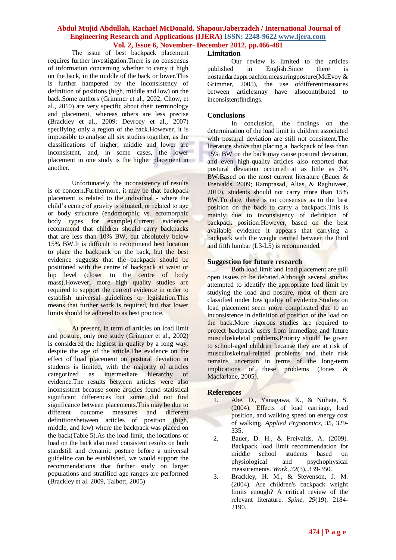The issue of best backpack placement requires further investigation.There is no consensus of information concerning whether to carry it high on the back, in the middle of the back or lower.This is further hampered by the inconsistency of definition of positions (high, middle and low) on the back.Some authors (Grimmer et al., 2002; Chow, et al., 2010) are very specific about their terminology and placement, whereas others are less precise (Brackley et al., 2009; Devroey et al., 2007) specifying only a region of the back.However, it is impossible to analyse all six studies together, as the classifications of higher, middle and lower are inconsistent, and, in some cases, the lower placement in one study is the higher placement in another.

Unfortunately, the inconsistency of results is of concern.Furthermore, it may be that backpack placement is related to the individual - where the child"s centre of gravity is situated, or related to age or body structure (endomorphic vs. ectomorphic body types for example).Current evidences recommend that children should carry backpacks that are less than 10% BW, but absolutely below 15% BW.It is difficult to recommend best location to place the backpack on the back, but the best evidence suggests that the backpack should be positioned with the centre of backpack at waist or hip level (closer to the centre of body mass).However, more high quality studies are required to support the current evidence in order to establish universal guidelines or legislation.This means that further work is required, but that lower limits should be adhered to as best practice.

At present, in term of articles on load limit and posture, only one study (Grimmer et al., 2002) is considered the highest in quality by a long way, despite the age of the article.The evidence on the effect of load placement on postural deviation in students is limited, with the majority of articles<br>categorized as intermediate hierarchy of categorized as intermediate hierarchy of evidence.The results between articles were also inconsistent because some articles found statistical significant differences but some did not find significance between placements.This may be due to different outcome measures and different definitionsbetween articles of position (high, middle, and low) where the backpack was placed on the back(Table 5).As the load limit, the locations of load on the back also need consistent results on both standstill and dynamic posture before a universal guideline can be established, we would support the recommendations that further study on larger populations and stratified age ranges are performed (Brackley et al. 2009, Talbott, 2005)

## **Limitation**

Our review is limited to the articles published in English.Since there is nostandardapproachformeasuringposture[\(McEvoy &](#page-10-13)  [Grimmer, 2005\)](#page-10-13), the use of different measures between articlesmay have alsocontributed to inconsistentfindings.

## **Conclusions**

In conclusion, the findings on the determination of the load limit in children associated with postural deviation are still not consistent.The literature shows that placing a backpack of less than 15% BW on the back may cause postural deviation, and even high-quality articles also reported that postural deviation occurred at as little as 3% BW.Based on the most current literature [\(Bauer &](#page-8-0)  [Freivalds, 2009;](#page-8-0) [Ramprasad, Alias, & Raghuveer,](#page-10-14)  [2010\)](#page-10-14), students should not carry more than 15% BW.To date, there is no consensus as to the best position on the back to carry a backpack.This is mainly due to inconsistency of definition of backpack position.However, based on the best available evidence it appears that carrying a backpack with the weight centred between the third and fifth lumbar (L3-L5) is recommended.

# **Suggestion for future research**

Both load limit and load placement are still open issues to be debated.Although several studies attempted to identify the appropriate load limit by studying the load and posture, most of them are classified under low quality of evidence.Studies on load placement seem more complicated due to an inconsistence in definition of position of the load on the back.More rigorous studies are required to protect backpack users from immediate and future musculoskeletal problems.Priority should be given to school-aged children because they are at risk of musculoskeletal-related problems and their risk remains uncertain in terms of the long-term implications of these problems [\(Jones &](#page-9-21)  [Macfarlane, 2005\)](#page-9-21).

## **References**

- <span id="page-8-2"></span>1. Abe, D., Yanagawa, K., & Niihata, S. (2004). Effects of load carriage, load position, and walking speed on energy cost of walking. *Applied Ergonomics, 35*, 329- 335.
- <span id="page-8-0"></span>2. Bauer, D. H., & Freivalds, A. (2009). Backpack load limit recommendation for middle school students based on physiological and psychophysical measurements. *Work, 32*(3), 339-350.
- <span id="page-8-1"></span>3. Brackley, H. M., & Stevenson, J. M. (2004). Are children's backpack weight limits enough? A critical review of the relevant literature. *Spine, 29*(19), 2184- 2190.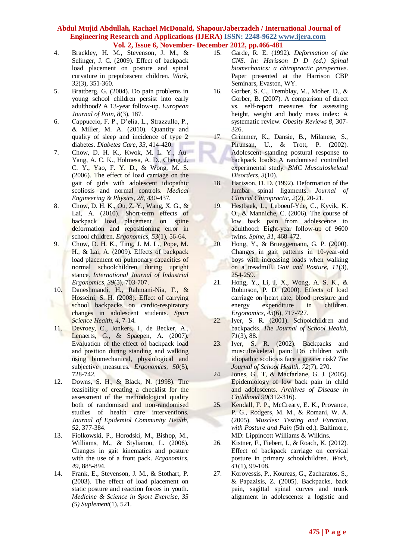- <span id="page-9-11"></span>4. Brackley, H. M., Stevenson, J. M., & Selinger, J. C. (2009). Effect of backpack load placement on posture and spinal curvature in prepubescent children. *Work, 32*(3), 351-360.
- <span id="page-9-5"></span>5. Brattberg, G. (2004). Do pain problems in young school children persist into early adulthood? A 13-year follow-up. *European Journal of Pain, 8*(3), 187.
- <span id="page-9-14"></span>6. Cappuccio, F. P., D"elia, L., Strazzullo, P., & Miller, M. A. (2010). Quantity and quality of sleep and incidence of type 2 diabetes. *Diabetes Care, 33*, 414-420.
- 7. Chow, D. H. K., Kwok, M. L. Y., Au-Yang, A. C. K., Holmesa, A. D., Cheng, J. C. Y., Yao, F. Y. D., & Wong, M. S. (2006). The effect of load carriage on the gait of girls with adolescent idiopathic scoliosis and normal controls. *Medical Engineering & Physics, 28*, 430-437.
- <span id="page-9-12"></span>8. Chow, D. H. K., Ou, Z. Y., Wang, X. G., & Lai, A. (2010). Short-term effects of backpack load placement on spine deformation and repositioning error in school children. *Ergonomics, 53*(1), 56-64.
- <span id="page-9-16"></span>9. Chow, D. H. K., Ting, J. M. L., Pope, M. H., & Lai, A. (2009). Effects of backpack load placement on pulmonary capacities of normal schoolchildren during upright stance. *International Journal of Industrial Ergonomics, 39*(5), 703-707.
- <span id="page-9-20"></span>10. Daneshmandi, H., Rahmani-Nia, F., & Hosseini, S. H. (2008). Effect of carrying school backpacks on cardio-respiratory changes in adolescent students. *Sport Science Health, 4*, 7-14.
- <span id="page-9-9"></span>11. Devroey, C., Jonkers, I., de Becker, A., Lenaerts, G., & Spaepen, A. (2007). Evaluation of the effect of backpack load and position during standing and walking using biomechanical, physiological and subjective measures. *Ergonomics, 50*(5), 728-742.
- <span id="page-9-13"></span>12. Downs, S. H., & Black, N. (1998). The feasibility of creating a checklist for the assessment of the methodological quality both of randomised and non-randomised studies of health care interventions. *Journal of Epidemiol Community Health, 52*, 377-384.
- <span id="page-9-10"></span>13. Fiolkowski, P., Horodski, M., Bishop, M., Williams, M., & Stylianou, L. (2006). Changes in gait kinematics and posture with the use of a front pack. *Ergonomics, 49*, 885-894.
- 14. Frank, E., Stevenson, J. M., & Stothart, P. (2003). The effect of load placement on static posture and reaction forces in youth. *Medicine & Science in Sport Exercise, 35 (5) Suplement*(1), 521.
- <span id="page-9-17"></span>15. Garde, R. E. (1992). *Deformation of the CNS. In: Harisson D D (ed.) Spinal biomechanics: a chiropractic perspective*. Paper presented at the Harrison CBP Seminars, Evaston, WY.
- <span id="page-9-15"></span>16. Gorber, S. C., Tremblay, M., Moher, D., & Gorber, B. (2007). A comparison of direct vs. self-report measures for assessing height, weight and body mass index: A systematic review. *Obesity Reviews 8*, 307- 326.
- <span id="page-9-1"></span>17. Grimmer, K., Dansie, B., Milanese, S., Pirunsan, U., & Trott, P. (2002). Adolescent standing postural response to backpack loads: A randomised controlled experimental study. *BMC Musculoskeletal Disorders, 3*(10).
- <span id="page-9-18"></span>18. Harisson, D. D. (1992). Deformation of the lumbar spinal ligaments. *Journal of Clinical Chiropractic, 2*(2), 20-21.
- <span id="page-9-6"></span>19. Hestbaek, L., Leboeuf-Yde, C., Kyvik, K. O., & Manniche, C. (2006). The course of low back pain from adolescence to adulthood: Eight-year follow-up of 9600 twins. *Spine, 31*, 468-472.
- <span id="page-9-8"></span>20. Hong, Y., & Brueggemann, G. P. (2000). Changes in gait patterns in 10-year-old boys with increasing loads when walking on a treadmill. *Gait and Posture, 11*(3), 254-259.
- <span id="page-9-19"></span>21. Hong, Y., Li, J. X., Wong, A. S. K., & Robinson, P. D. (2000). Effects of load carriage on heart rate, blood pressure and energy expenditure in children. *Ergonomics, 43*(6), 717-727.
- <span id="page-9-2"></span>22. Iyer, S. R. (2001). Schoolchildren and backpacks. *The Journal of School Health, 71*(3), 88.
- <span id="page-9-3"></span>23. Iyer, S. R. (2002). Backpacks and musculoskeletal pain: Do children with idiopathic scoliosis face a greater risk? *The Journal of School Health, 72*(7), 270.
- <span id="page-9-21"></span>24. Jones, G., T, & Macfarlane, G. J. (2005). Epidemiology of low back pain in child and adolescents. *Archives of Disease in Childhood 90*(312-316).
- <span id="page-9-0"></span>25. Kendall, F. P., McCreary, E. K., Provance, P. G., Rodgers, M. M., & Romani, W. A. (2005). *Muscles: Testing and Function, with Posture and Pain* (5th ed.). Baltimore, MD: Lippincott Williams & Wilkins.
- <span id="page-9-7"></span>26. Kistner, F., Fiebert, I., & Roach, K. (2012). Effect of backpack carriage on cervical posture in primary schoolchildren. *Work, 41*(1), 99-108.
- <span id="page-9-4"></span>27. Korovessis, P., Koureas, G., Zacharatos, S., & Papazisis, Z. (2005). Backpacks, back pain, sagittal spinal curves and trunk alignment in adolescents: a logistic and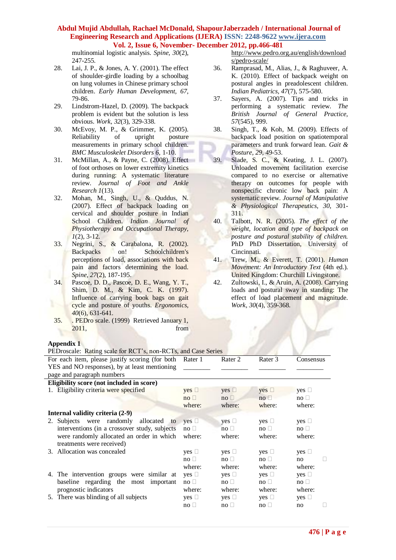multinomial logistic analysis. *Spine, 30*(2), 247-255.

- <span id="page-10-1"></span>28. Lai, J. P., & Jones, A. Y. (2001). The effect of shoulder-girdle loading by a schoolbag on lung volumes in Chinese primary school children. *Early Human Development, 67*, 79-86.
- <span id="page-10-2"></span>29. Lindstrom-Hazel, D. (2009). The backpack problem is evident but the solution is less obvious. *Work, 32*(3), 329-338.
- <span id="page-10-13"></span>30. McEvoy, M. P., & Grimmer, K. (2005). Reliability of upright posture measurements in primary school children. *BMC Musculoskelet Disorders 6*, 1-10.
- <span id="page-10-9"></span>31. McMillan, A., & Payne, C. (2008). Effect of foot orthoses on lower extremity kinetics during running: A systematic literature review. *Journal of Foot and Ankle Research 1*(13).
- <span id="page-10-3"></span>32. Mohan, M., Singh, U., & Quddus, N. (2007). Effect of backpack loading on cervical and shoulder posture in Indian School Children. *Indian Journal of Physiotherapy and Occupational Therapy, 1*(2), 3-12.
- <span id="page-10-4"></span>33. Negrini, S., & Carabalona, R. (2002). Backpacks on! Schoolchildren's perceptions of load, associations with back pain and factors determining the load. *Spine, 27*(2), 187-195.
- <span id="page-10-5"></span>34. Pascoe, D. D., Pascoe, D. E., Wang, Y. T., Shim, D. M., & Kim, C. K. (1997). Influence of carrying book bags on gait cycle and posture of youths. *Ergonomics, 40*(6), 631-641.
- <span id="page-10-7"></span>35. . PEDro scale. (1999) Retrieved January 1, 2011, from

## **Appendix 1**

| PEDroscale: Rating scale for RCT's, non-RCTs, and Case Series |                                 |                          |            |               |
|---------------------------------------------------------------|---------------------------------|--------------------------|------------|---------------|
| For each item, please justify scoring (for both Rater 1)      |                                 | Rater 2                  | Rater 3    | Consensus     |
| YES and NO responses), by at least mentioning                 |                                 |                          |            |               |
| page and paragraph numbers                                    |                                 |                          |            |               |
| Eligibility score (not included in score)                     |                                 |                          |            |               |
| 1. Eligibility criteria were specified                        | $yes \Box$                      | $yes \Box$               | $yes \Box$ | yes $\square$ |
|                                                               | $no \Box$                       | $no \Box$                | no         | $no \Box$     |
|                                                               | where:                          | where:                   | where:     | where:        |
| Internal validity criteria (2-9)                              |                                 |                          |            |               |
| 2. Subjects were randomly allocated to                        | $ves \Box$                      | yes $\Box$               | $yes \Box$ | yes $\Box$    |
| interventions (in a crossover study, subjects                 | $no \Box$                       | $no \square$             | $no \Box$  | $no \Box$     |
| were randomly allocated an order in which                     | where:                          | where:                   | where:     | where:        |
| treatments were received)                                     |                                 |                          |            |               |
| 3. Allocation was concealed                                   | $yes \Box$                      | $yes \Box$               | $yes \Box$ | yes $\Box$    |
|                                                               | $\overline{\mathsf{no}} \ \Box$ | $\overline{p}$ no $\Box$ | $no \Box$  | no            |
|                                                               | where:                          | where:                   | where:     | where:        |
| 4. The intervention groups were similar at                    | yes $\Box$                      | $yes \Box$               | $yes \Box$ | $yes \Box$    |
| baseline regarding the most important                         | $no \Box$                       | $no \Box$                | $no \Box$  | $no \Box$     |
| prognostic indicators                                         | where:                          | where:                   | where:     | where:        |
| 5. There was blinding of all subjects                         | $yes \Box$                      | $yes \Box$               | $yes \Box$ | yes $\Box$    |
|                                                               | $no \Box$                       | $no \Box$                | $no \Box$  | no            |

[http://www.pedro.org.au/english/download](http://www.pedro.org.au/english/downloads/pedro-scale/) [s/pedro-scale/](http://www.pedro.org.au/english/downloads/pedro-scale/)

- <span id="page-10-14"></span>36. Ramprasad, M., Alias, J., & Raghuveer, A. K. (2010). Effect of backpack weight on postural angles in preadolescent children. *Indian Pediatrics, 47*(7), 575-580.
- <span id="page-10-6"></span>37. Sayers, A. (2007). Tips and tricks in performing a systematic review. *The British Journal of General Practice, 57*(545), 999.
- <span id="page-10-11"></span>38. Singh, T., & Koh, M. (2009). Effects of backpack load position on spatiotemporal parameters and trunk forward lean. *Gait & Posture, 29*, 49-53.
- <span id="page-10-8"></span>39. Slade, S. C., & Keating, J. L. (2007). Unloaded movement facilitation exercise compared to no exercise or alternative therapy on outcomes for people with nonspecific chronic low back pain: A systematic review. *Journal of Manipulative & Physiological Therapeutics, 30*, 301- 311.
- <span id="page-10-12"></span>40. Talbott, N. R. (2005). *The effect of the weight, location and type of backpack on posture and postural stability of children.* PhD PhD Dissertation, University of Cincinnati.
- <span id="page-10-0"></span>41. Trew, M., & Everett, T. (2001). *Human Movement: An Introductory Text* (4th ed.). United Kingdom: Churchill Livingstone.
- <span id="page-10-10"></span>42. Zultowski, I., & Aruin, A. (2008). Carrying loads and postural sway in standing: The effect of load placement and magnitude. *Work, 30*(4), 359-368.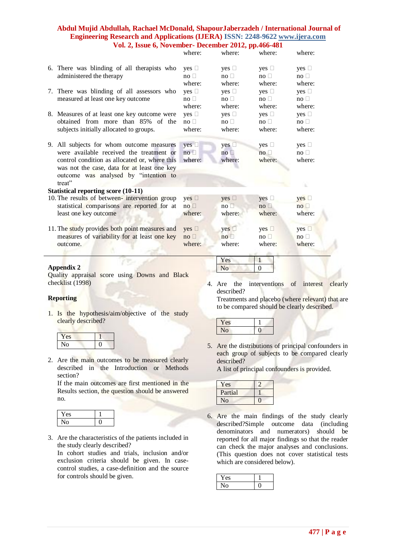|                                                | where:        | where:          | where:        | where:               |
|------------------------------------------------|---------------|-----------------|---------------|----------------------|
|                                                |               |                 |               |                      |
| 6. There was blinding of all therapists who    | $yes \Box$    | $yes \Box$      | $yes \Box$    | $yes \Box$           |
| administered the therapy                       | $no \square$  | $no \square$    | $no \square$  | $\mathsf{no} \ \Box$ |
|                                                | where:        | where:          | where:        | where:               |
| 7. There was blinding of all assessors who     | $ves \Box$    | $ves \Box$      | yes $\square$ | yes $\square$        |
| measured at least one key outcome              | $no \Box$     | $no \Box$       | $no \Box$     | $no \Box$            |
|                                                | where:        | where:          | where:        | where:               |
| 8. Measures of at least one key outcome were   | yes $\Box$    | $yes \Box$      | $yes \Box$    | $yes \Box$           |
| obtained from more than 85% of the             | $no \Box$     | $no \Box$       | $no \Box$     | $no \Box$            |
| subjects initially allocated to groups.        | where:        | where:          | where:        | where:               |
|                                                |               |                 |               |                      |
| 9. All subjects for whom outcome measures      | yes $\square$ | yes $\square$   | yes $\square$ | yes $\square$        |
| were available received the treatment or       | no            | no <sub>l</sub> | no            | $no \Box$            |
| control condition as allocated or, where this  | where:        | where:          | where:        | where:               |
| was not the case, data for at least one key    |               |                 |               |                      |
| outcome was analysed by "intention to          |               |                 |               |                      |
| treat"                                         |               |                 |               |                      |
| <b>Statistical reporting score (10-11)</b>     |               |                 |               |                      |
| 10. The results of between-intervention group  | yes $\square$ | $yes \Box$      | yes $\square$ | $yes \Box$           |
| statistical comparisons are reported for at    | $no \Box$     | $no \Box$       | $no \Box$     | no                   |
| least one key outcome                          | where:        | where:          | where:        | where:               |
|                                                |               |                 |               |                      |
| 11. The study provides both point measures and | yes $\square$ | $yes \Box$      | yes $\square$ | yes $\square$        |
| measures of variability for at least one key   | $no \Box$     | $no \square$    | $no \square$  | $no \square$         |
| outcome.                                       | where:        | where:          | where:        | where:               |
|                                                |               |                 |               |                      |
|                                                |               | Yes             | $\mathbf{1}$  |                      |
| Appendix 2                                     |               | N <sub>o</sub>  | $\mathbf{0}$  |                      |
|                                                |               |                 |               |                      |

Quality appraisal score using Downs and Black checklist (1998)

# **Reporting**

1. Is the hypothesis/aim/objective of the study clearly described?

| 'es |  |
|-----|--|
|     |  |

2. Are the main outcomes to be measured clearly described in the Introduction or Methods section?

If the main outcomes are first mentioned in the Results section, the question should be answered no.

| ., |  |
|----|--|
|    |  |

3. Are the characteristics of the patients included in the study clearly described?

In cohort studies and trials, inclusion and/or exclusion criteria should be given. In casecontrol studies, a case-definition and the source for controls should be given.

4. Are the interventions of interest clearly described?

Treatments and placebo (where relevant) that are to be compared should be clearly described.

| - 1 |  |
|-----|--|
|     |  |

5. Are the distributions of principal confounders in each group of subjects to be compared clearly described?

A list of principal confounders is provided.

| Yes      |  |
|----------|--|
| Partial  |  |
| $\Omega$ |  |

6. Are the main findings of the study clearly described?Simple outcome data (including denominators and numerators) should be reported for all major findings so that the reader can check the major analyses and conclusions. (This question does not cover statistical tests which are considered below).

| ۱.<br>es |  |
|----------|--|
|          |  |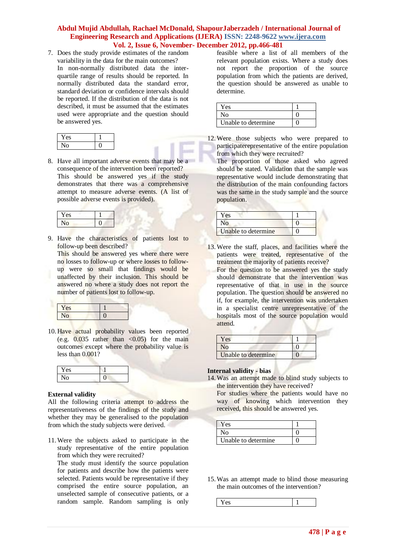7. Does the study provide estimates of the random variability in the data for the main outcomes? In non-normally distributed data the interquartile range of results should be reported. In normally distributed data the standard error, standard deviation or confidence intervals should be reported. If the distribution of the data is not described, it must be assumed that the estimates used were appropriate and the question should be answered yes.

8. Have all important adverse events that may be a consequence of the intervention been reported? This should be answered yes if the study demonstrates that there was a comprehensive attempt to measure adverse events. (A list of possible adverse events is provided).

| e۹ |  |
|----|--|
|    |  |

9. Have the characteristics of patients lost to follow-up been described?

This should be answered yes where there were no losses to follow-up or where losses to followup were so small that findings would be unaffected by their inclusion. This should be answered no where a study does not report the number of patients lost to follow-up.

| Yes            |  |
|----------------|--|
| N <sub>O</sub> |  |

10. Have actual probability values been reported (e.g.  $0.035$  rather than <0.05) for the main outcomes except where the probability value is less than 0.001?

| Yes |  |
|-----|--|
| NO  |  |

# **External validity**

All the following criteria attempt to address the representativeness of the findings of the study and whether they may be generalised to the population from which the study subjects were derived.

11.Were the subjects asked to participate in the study representative of the entire population from which they were recruited?

The study must identify the source population for patients and describe how the patients were selected. Patients would be representative if they comprised the entire source population, an unselected sample of consecutive patients, or a random sample. Random sampling is only feasible where a list of all members of the relevant population exists. Where a study does not report the proportion of the source population from which the patients are derived, the question should be answered as unable to determine.

| Yes                 |  |
|---------------------|--|
| Nο                  |  |
| Unable to determine |  |

12.Were those subjects who were prepared to participaterepresentative of the entire population from which they were recruited?

The proportion of those asked who agreed should be stated. Validation that the sample was representative would include demonstrating that the distribution of the main confounding factors was the same in the study sample and the source population.

| Yes                 |  |
|---------------------|--|
| ง∩                  |  |
| Unable to determine |  |

13.Were the staff, places, and facilities where the patients were treated, representative of the treatment the majority of patients receive?

For the question to be answered yes the study should demonstrate that the intervention was representative of that in use in the source population. The question should be answered no if, for example, the intervention was undertaken in a specialist centre unrepresentative of the hospitals most of the source population would attend.

| Yes                 |  |
|---------------------|--|
|                     |  |
| Unable to determine |  |

# **Internal validity - bias**

14.Was an attempt made to blind study subjects to the intervention they have received?

For studies where the patients would have no way of knowing which intervention they received, this should be answered yes.

| Yes                  |  |
|----------------------|--|
| Nο                   |  |
| Unable to determine. |  |

15.Was an attempt made to blind those measuring the main outcomes of the intervention?

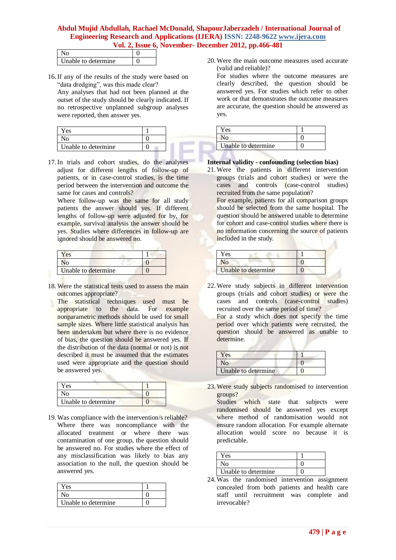| Unable to determine |  |
|---------------------|--|

16.If any of the results of the study were based on "data dredging", was this made clear?

Any analyses that had not been planned at the outset of the study should be clearly indicated. If no retrospective unplanned subgroup analyses were reported, then answer yes.

| es                  |  |
|---------------------|--|
|                     |  |
| Unable to determine |  |

17.In trials and cohort studies, do the analyses adjust for different lengths of follow-up of patients, or in case-control studies, is the time period between the intervention and outcome the same for cases and controls?

Where follow-up was the same for all study patients the answer should yes. If different lengths of follow-up were adjusted for by, for example, survival analysis the answer should be yes. Studies where differences in follow-up are ignored should be answered no.

| Yes                 |  |
|---------------------|--|
| N <sub>0</sub>      |  |
| Unable to determine |  |

18.Were the statistical tests used to assess the main outcomes appropriate?

The statistical techniques used must be appropriate to the data. For example nonparametric methods should be used for small sample sizes. Where little statistical analysis has been undertaken but where there is no evidence of bias, the question should be answered yes. If the distribution of the data (normal or not) is not described it must be assumed that the estimates used were appropriate and the question should be answered yes.

| Y es                |  |
|---------------------|--|
| No-                 |  |
| Unable to determine |  |

19.Was compliance with the intervention/s reliable? Where there was noncompliance with the allocated treatment or where there was contamination of one group, the question should be answered no. For studies where the effect of any misclassification was likely to bias any association to the null, the question should be answered yes.

| Yes                 |  |
|---------------------|--|
| No                  |  |
| Unable to determine |  |

20.Were the main outcome measures used accurate (valid and reliable)?

For studies where the outcome measures are clearly described, the question should be answered yes. For studies which refer to other work or that demonstrates the outcome measures are accurate, the question should be answered as yes.

| es                  |  |
|---------------------|--|
|                     |  |
| Unable to determine |  |

# **Internal validity - confounding (selection bias)**

21.Were the patients in different intervention groups (trials and cohort studies) or were the cases and controls (case-control studies) recruited from the same population?

For example, patients for all comparison groups should be selected from the same hospital. The question should be answered unable to determine for cohort and case-control studies where there is no information concerning the source of patients included in the study.

| es                  |  |
|---------------------|--|
|                     |  |
| Unable to determine |  |

22.Were study subjects in different intervention groups (trials and cohort studies) or were the cases and controls (case-control studies) recruited over the same period of time?

For a study which does not specify the time period over which patients were recruited, the question should be answered as unable to determine.

| Yes                 |  |
|---------------------|--|
| No.                 |  |
| Unable to determine |  |

23.Were study subjects randomised to intervention groups?

Studies which state that subjects were randomised should be answered yes except where method of randomisation would not ensure random allocation. For example alternate allocation would score no because it is predictable.

| Y es                |  |
|---------------------|--|
| J٥                  |  |
| Unable to determine |  |

24.Was the randomised intervention assignment concealed from both patients and health care staff until recruitment was complete and irrevocable?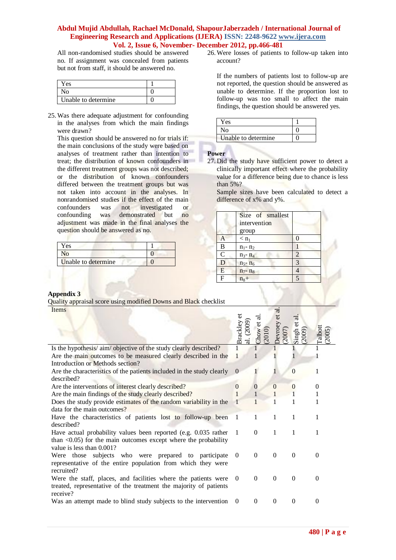All non-randomised studies should be answered no. If assignment was concealed from patients but not from staff, it should be answered no.

| Yes                 |  |
|---------------------|--|
|                     |  |
| Unable to determine |  |

25.Was there adequate adjustment for confounding in the analyses from which the main findings were drawn?

This question should be answered no for trials if: the main conclusions of the study were based on analyses of treatment rather than intention to treat; the distribution of known confounders in the different treatment groups was not described; or the distribution of known confounders differed between the treatment groups but was not taken into account in the analyses. In nonrandomised studies if the effect of the main confounders was not investigated or confounding was demonstrated but no adjustment was made in the final analyses the question should be answered as no.

| Yes                 |  |
|---------------------|--|
|                     |  |
| Unable to determine |  |

26.Were losses of patients to follow-up taken into account?

If the numbers of patients lost to follow-up are not reported, the question should be answered as unable to determine. If the proportion lost to follow-up was too small to affect the main findings, the question should be answered yes.

| Yes                 |  |
|---------------------|--|
| Nο                  |  |
| Unable to determine |  |

## **Power**

27. Did the study have sufficient power to detect a clinically important effect where the probability value for a difference being due to chance is less than 5%?

Sample sizes have been calculated to detect a difference of x% and y%.

|                | Size of smallest   |                |
|----------------|--------------------|----------------|
|                | intervention       |                |
|                | group              |                |
| A              | $<$ n <sub>1</sub> | $\left($       |
| $\overline{B}$ | $n_1 - n_2$        |                |
| $\mathcal{C}$  | $n_3 - n_4$        | $\overline{2}$ |
| D              | $n_5 - n_6$        | 3              |
| E              | $n_7 - n_8$        |                |
| $\mathbf F$    | $n_8+$             | 5              |
|                |                    |                |

# **Appendix 3**

Quality appraisal score using modified Downs and Black checklist

| Items                                                                          |                 |              |                       |                           |                   |
|--------------------------------------------------------------------------------|-----------------|--------------|-----------------------|---------------------------|-------------------|
|                                                                                | <b>Brackley</b> | Chow         | Jevroey et al<br>2007 | ನ<br>Singh et a<br>(2009) | Talbott<br>(2005) |
| Is the hypothesis/aim/objective of the study clearly described?                |                 |              |                       |                           | 1                 |
| Are the main outcomes to be measured clearly described in the                  |                 |              |                       |                           |                   |
| Introduction or Methods section?                                               |                 |              |                       |                           |                   |
| Are the characteristics of the patients included in the study clearly          | $\theta$        | L            |                       | $\boldsymbol{0}$          |                   |
| described?                                                                     |                 |              |                       |                           |                   |
| Are the interventions of interest clearly described?                           | $\Omega$        | $\mathbf{0}$ | $\Omega$              | $\Omega$                  | $\Omega$          |
| Are the main findings of the study clearly described?                          |                 | 1            | 1                     |                           |                   |
| Does the study provide estimates of the random variability in the              |                 | $\mathbf{1}$ | 1                     |                           |                   |
| data for the main outcomes?                                                    |                 |              |                       |                           |                   |
| Have the characteristics of patients lost to follow-up been                    | -1              | 1            | 1                     | 1                         |                   |
| described?                                                                     |                 |              |                       |                           |                   |
| Have actual probability values been reported (e.g. 0.035 rather                |                 | $\Omega$     | 1                     | 1                         |                   |
| than $\langle 0.05 \rangle$ for the main outcomes except where the probability |                 |              |                       |                           |                   |
| value is less than 0.001?                                                      |                 |              |                       |                           |                   |
| Were those subjects who were prepared to participate                           | $\theta$        | $\Omega$     | $\Omega$              | $\theta$                  | 0                 |
| representative of the entire population from which they were                   |                 |              |                       |                           |                   |
| recruited?                                                                     |                 |              |                       |                           |                   |
| Were the staff, places, and facilities where the patients were                 | $\Omega$        | $\theta$     | $\Omega$              | $\mathbf{0}$              | $\Omega$          |
| treated, representative of the treatment the majority of patients              |                 |              |                       |                           |                   |
| receive?                                                                       |                 |              |                       |                           |                   |
| Was an attempt made to blind study subjects to the intervention                | $\theta$        | $\Omega$     | $\Omega$              | $\theta$                  | $\theta$          |